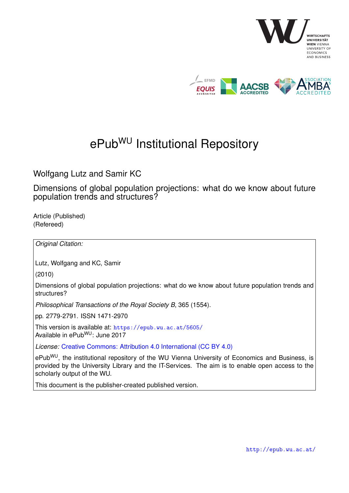

# ePub<sup>WU</sup> Institutional Repository

Wolfgang Lutz and Samir KC

Dimensions of global population projections: what do we know about future population trends and structures?

Article (Published) (Refereed)

*Original Citation:*

Lutz, Wolfgang and KC, Samir

(2010)

Dimensions of global population projections: what do we know about future population trends and structures?

*Philosophical Transactions of the Royal Society B*, 365 (1554).

pp. 2779-2791. ISSN 1471-2970

This version is available at: <https://epub.wu.ac.at/5605/> Available in ePub<sup>WU</sup>: June 2017

*License:* [Creative Commons: Attribution 4.0 International \(CC BY 4.0\)](https://creativecommons.org/licenses/by/4.0/deed.en)

ePub<sup>WU</sup>, the institutional repository of the WU Vienna University of Economics and Business, is provided by the University Library and the IT-Services. The aim is to enable open access to the scholarly output of the WU.

This document is the publisher-created published version.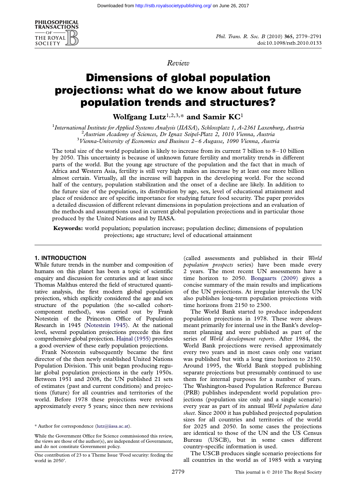

Review

# Dimensions of global population projections: what do we know about future population trends and structures?

Wolfgang Lutz<sup>1,2,3,\*</sup> and Samir  $KC<sup>1</sup>$ 

<sup>1</sup>International Institute for Applied Systems Analysis (IIASA), Schlossplatz 1, A-2361 Laxenburg, Austria<sup>2</sup> Austria <sup>2</sup> Austrian Academy of Sciences, Dr Ignaz Seipel-Platz 2, 1010 Vienna, Austria

 $3$ Vienna-University of Economics and Business 2–6 Augasse, 1090 Vienna, Austria

The total size of the world population is likely to increase from its current 7 billion to  $8-10$  billion by 2050. This uncertainty is because of unknown future fertility and mortality trends in different parts of the world. But the young age structure of the population and the fact that in much of Africa and Western Asia, fertility is still very high makes an increase by at least one more billion almost certain. Virtually, all the increase will happen in the developing world. For the second half of the century, population stabilization and the onset of a decline are likely. In addition to the future size of the population, its distribution by age, sex, level of educational attainment and place of residence are of specific importance for studying future food security. The paper provides a detailed discussion of different relevant dimensions in population projections and an evaluation of the methods and assumptions used in current global population projections and in particular those produced by the United Nations and by IIASA.

Keywords: world population; population increase; population decline; dimensions of population projections; age structure; level of educational attainment

#### 1. INTRODUCTION

While future trends in the number and composition of humans on this planet has been a topic of scientific enquiry and discussion for centuries and at least since Thomas Malthus entered the field of structured quantitative analysis, the first modern global population projection, which explicitly considered the age and sex structure of the population (the so-called cohortcomponent method), was carried out by Frank Notestein of the Princeton Office of Population Research in 1945 [\(Notestein 1945](#page-13-0)). At the national level, several population projections precede this first comprehensive global projection. [Hajnal \(1955\)](#page-12-0) provides a good overview of these early population projections.

Frank Notestein subsequently became the first director of the then newly established United Nations Population Division. This unit began producing regular global population projections in the early 1950s. Between 1951 and 2008, the UN published 21 sets of estimates (past and current conditions) and projections (future) for all countries and territories of the world. Before 1978 these projections were revised approximately every 5 years; since then new revisions

\* Author for correspondence [\(lutz@iiasa.ac.at](mailto:lutz@iiasa.ac.at)).

(called assessments and published in their World population prospects series) have been made every 2 years. The most recent UN assessments have a time horizon to 2050. [Bongaarts \(2009\)](#page-12-0) gives a concise summary of the main results and implications of the UN projections. At irregular intervals the UN also publishes long-term population projections with time horizons from 2150 to 2300.

The World Bank started to produce independent population projections in 1978. These were always meant primarily for internal use in the Bank's development planning and were published as part of the series of World development reports. After 1984, the World Bank projections were revised approximately every two years and in most cases only one variant was published but with a long time horizon to 2150. Around 1995, the World Bank stopped publishing separate projections but presumably continued to use them for internal purposes for a number of years. The Washington-based Population Reference Bureau (PRB) publishes independent world population projections (population size only and a single scenario) every year as part of its annual World population data sheet. Since 2000 it has published projected population sizes for all countries and territories of the world for 2025 and 2050. In some cases the projections are identical to those of the UN and the US Census Bureau (USCB), but in some cases different country-specific information is used.

The USCB produces single scenario projections for all countries in the world as of 1985 with a varying

While the Government Office for Science commissioned this review, the views are those of the author(s), are independent of Government, and do not constitute Government policy.

One contribution of 23 to a Theme Issue 'Food security: feeding the world in 2050'.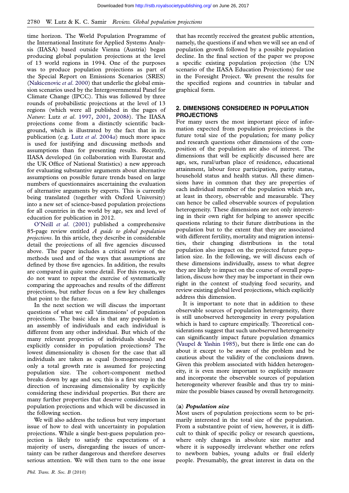time horizon. The World Population Programme of the International Institute for Applied Systems Analysis (IIASA) based outside Vienna (Austria) began producing global population projections at the level of 13 world regions in 1994. One of the purposes was to produce population projections as part of the Special Report on Emissions Scenarios (SRES) [\(Nakicenovic](#page-13-0) *et al.* 2000) that underlie the global emission scenarios used by the Intergovernmental Panel for Climate Change (IPCC). This was followed by three rounds of probabilistic projections at the level of 13 regions (which were all published in the pages of Nature: Lutz et al. [1997](#page-12-0), [2001,](#page-12-0) [2008](#page-12-0)b). The IIASA projections come from a distinctly scientific background, which is illustrated by the fact that in its publication (e.g. Lutz et al[. 2004](#page-12-0)a) much more space is used for justifying and discussing methods and assumptions than for presenting results. Recently, IIASA developed (in collaboration with Eurostat and the UK Office of National Statistics) a new approach for evaluating substantive arguments about alternative assumptions on possible future trends based on large numbers of questionnaires ascertaining the evaluation of alternative arguments by experts. This is currently being translated (together with Oxford University) into a new set of science-based population projections for all countries in the world by age, sex and level of education for publication in 2012.

O'Neill et al[. \(2001\)](#page-13-0) published a comprehensive 85-page review entitled  $\vec{A}$  guide to global population projections. In this article, they describe in considerable detail the projections of all five agencies discussed above. The paper includes a critical review of the methods used and of the ways that assumptions are defined by those five agencies. In addition, the results are compared in quite some detail. For this reason, we do not want to repeat the exercise of systematically comparing the approaches and results of the different projections, but rather focus on a few key challenges that point to the future.

In the next section we will discuss the important questions of what we call 'dimensions' of population projections. The basic idea is that any population is an assembly of individuals and each individual is different from any other individual. But which of the many relevant properties of individuals should we explicitly consider in population projections? The lowest dimensionality is chosen for the case that all individuals are taken as equal (homogeneous) and only a total growth rate is assumed for projecting population size. The cohort-component method breaks down by age and sex; this is a first step in the direction of increasing dimensionality by explicitly considering these individual properties. But there are many further properties that deserve consideration in population projections and which will be discussed in the following section.

We will also address the tedious but very important issue of how to deal with uncertainty in population projections. While a single best-guess population projection is likely to satisfy the expectations of a majority of users, disregarding the issues of uncertainty can be rather dangerous and therefore deserves serious attention. We will then turn to the one issue

Phil. Trans. R. Soc. B (2010)

that has recently received the greatest public attention, namely, the questions if and when we will see an end of population growth followed by a possible population decline. In the final section of the paper we propose a specific existing population projection (the UN scenario of the IIASA Education Projections) for use in the Foresight Project. We present the results for the specified regions and countries in tabular and graphical form.

# 2. DIMENSIONS CONSIDERED IN POPULATION PROJECTIONS

For many users the most important piece of information expected from population projections is the future total size of the population; for many policy and research questions other dimensions of the composition of the population are also of interest. The dimensions that will be explicitly discussed here are age, sex, rural/urban place of residence, educational attainment, labour force participation, parity status, household status and health status. All these dimensions have in common that they are properties of each individual member of the population which are, at least in theory, observable and measurable. They can hence be called observable sources of population heterogeneity. These dimensions are not only interesting in their own right for helping to answer specific questions relating to their future distributions in the population but to the extent that they are associated with different fertility, mortality and migration intensities, their changing distributions in the total population also impact on the projected future population size. In the following, we will discuss each of these dimensions individually, assess to what degree they are likely to impact on the course of overall population, discuss how they may be important in their own right in the context of studying food security, and review existing global level projections, which explicitly address this dimension.

It is important to note that in addition to these observable sources of population heterogeneity, there is still unobserved heterogeneity in every population which is hard to capture empirically. Theoretical considerations suggest that such unobserved heterogeneity can significantly impact future population dynamics [\(Vaupel & Yashin 1985](#page-13-0)), but there is little one can do about it except to be aware of the problem and be cautious about the validity of the conclusions drawn. Given this problem associated with hidden heterogeneity, it is even more important to explicitly measure and incorporate the observable sources of population heterogeneity wherever feasible and thus try to minimize the possible biases caused by overall heterogeneity.

#### (a) Population size

Most users of population projections seem to be primarily interested in the total size of the population. From a substantive point of view, however, it is difficult to think of specific policy or research questions, where only changes in absolute size matter and where it is supposedly irrelevant whether one refers to newborn babies, young adults or frail elderly people. Presumably, the great interest in data on the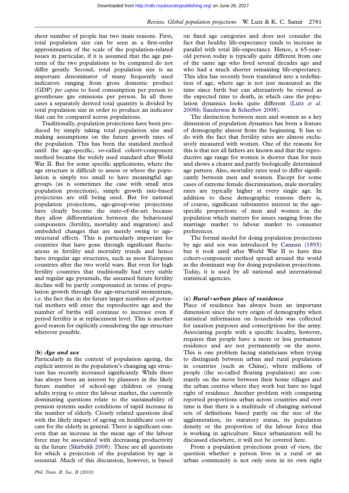sheer number of people has two main reasons. First, total population size can be seen as a first-order approximation of the scale of the population-related issues in particular, if it is assumed that the age patterns of the two populations to be compared do not differ greatly. Second, total population size is an important denominator of many frequently used indicators ranging from gross domestic product (GDP) per capita to food consumption per person to greenhouse gas emissions per person. In all those cases a separately derived total quantity is divided by total population size in order to produce an indicator that can be compared across populations.

Traditionally, population projections have been produced by simply taking total population size and making assumptions on the future growth rates of the population. This has been the standard method until the age-specific, so-called cohort-component method became the widely used standard after World War II. But for some specific applications, where the age structure is difficult to assess or where the population is simply too small to have meaningful age groups (as is sometimes the case with small area population projections), simple growth rate-based projections are still being used. But for national population projections, age-group-wise projections have clearly become the state-of-the-art because they allow differentiation between the behavioural components (fertility, mortality and migration) and embedded changes that are merely owing to agestructural effects. This is particularly important for countries that have gone through significant fluctuations in fertility and mortality trends and hence have irregular age structures, such as most European countries after the two world wars. But even for high fertility countries that traditionally had very stable and regular age pyramids, the assumed future fertility decline will be partly compensated in terms of population growth through the age-structural momentum, i.e. the fact that in the future larger numbers of potential mothers will enter the reproductive age and the number of births will continue to increase even if period fertility is at replacement level. This is another good reason for explicitly considering the age structure wherever possible.

#### (b) Age and sex

Particularly in the context of population ageing, the explicit interest in the population's changing age structure has recently increased significantly. While there has always been an interest by planners in the likely future number of school-age children or young adults trying to enter the labour market, the currently dominating questions relate to the sustainability of pension systems under conditions of rapid increase in the number of elderly. Closely related questions deal with the likely impact of ageing on healthcare cost or care for the elderly in general. There is significant concern that an increase in the mean age of the labour force may be associated with decreasing productivity in the future ([Skirbekk 2008](#page-13-0)). These are all questions for which a projection of the population by age is essential. Much of this discussion, however, is based

on fixed age categories and does not consider the fact that healthy life-expectancy tends to increase in parallel with total life-expectancy. Hence, a 65-yearold person today is typically quite different from one of the same age who lived several decades ago and who had a much shorter remaining life-expectancy. This idea has recently been translated into a redefinition of age, where age is not just measured as the time since birth but can alternatively be viewed as the expected time to death, in which case the population dynamics looks quite different (Lutz [et al](#page-12-0). [2008](#page-12-0)b; [Sanderson & Scherbov 2008\)](#page-13-0).

The distinction between men and women as a key dimension of population dynamics has been a feature of demography almost from the beginning. It has to do with the fact that fertility rates are almost exclusively measured with women. One of the reasons for this is that not all fathers are known and that the reproductive age range for women is shorter than for men and shows a clearer and partly biologically determined age pattern. Also, mortality rates tend to differ significantly between men and women. Except for some cases of extreme female discrimination, male mortality rates are typically higher at every single age. In addition to these demographic reasons there is, of course, significant substantive interest in the agespecific proportions of men and women in the population which matters for issues ranging from the marriage market to labour market to consumer preferences.

The formal model for doing population projections by age and sex was introduced by [Cannan \(1895\)](#page-12-0) but it took until after World War II to have this cohort-component method spread around the world as the dominant way for doing population projections. Today, it is used by all national and international statistical agencies.

#### $(c)$  Rural-urban place of residence

Place of residence has always been an important dimension since the very origin of demography when statistical information on households was collected for taxation purposes and conscriptions for the army. Associating people with a specific locality, however, requires that people have a more or less permanent residence and are not permanently on the move. This is one problem facing statisticians when trying to distinguish between urban and rural populations in countries (such as China), where millions of people (the so-called floating population) are constantly on the move between their home villages and the urban centres where they work but have no legal right of residence. Another problem with comparing reported proportions urban across countries and over time is that there is a multitude of changing national sets of definitions based partly on the size of the agglomeration, its statutory status, its population density or the proportion of the labour force that is working in agriculture. Since urbanization will be discussed elsewhere, it will not be covered here.

From a population projections point of view, the question whether a person lives in a rural or an urban community is not only seen in its own right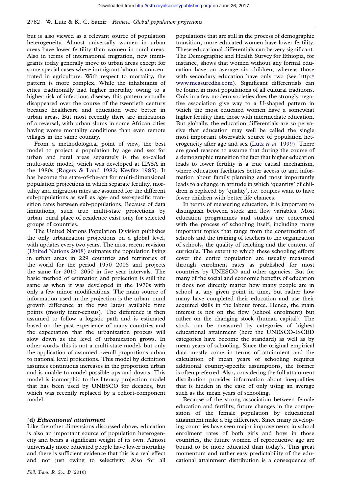but is also viewed as a relevant source of population heterogeneity. Almost universally women in urban areas have lower fertility than women in rural areas. Also in terms of international migration, new immigrants today generally move to urban areas except for some special cases where immigrant labour is concentrated in agriculture. With respect to mortality, the pattern is more complex. While the inhabitants of cities traditionally had higher mortality owing to a higher risk of infectious disease, this pattern virtually disappeared over the course of the twentieth century because healthcare and education were better in urban areas. But most recently there are indications of a reversal, with urban slums in some African cities having worse mortality conditions than even remote villages in the same country.

From a methodological point of view, the best model to project a population by age and sex for urban and rural areas separately is the so-called multi-state model, which was developed at IIASA in the 1980s ([Rogers & Land 1982;](#page-13-0) [Keyfitz 1985](#page-12-0)). It has become the state-of-the-art for multi-dimensional population projections in which separate fertility, mortality and migration rates are assumed for the different sub-populations as well as age- and sex-specific transition rates between sub-populations. Because of data limitations, such true multi-state projections by urban–rural place of residence exist only for selected groups of countries.

The United Nations Population Division publishes the only urbanization projections on a global level, with updates every two years. The most recent revision [\(United Nations 2008\)](#page-13-0) estimates the population living in urban areas in 229 countries and territories of the world for the period 1950–2005 and projects the same for 2010–2050 in five year intervals. The basic method of estimation and projection is still the same as when it was developed in the 1970s with only a few minor modifications. The main source of information used in the projection is the urban–rural growth difference at the two latest available time points (mostly inter-census). The difference is then assumed to follow a logistic path and is estimated based on the past experience of many countries and the expectation that the urbanization process will slow down as the level of urbanization grows. In other words, this is not a multi-state model, but only the application of assumed overall proportions urban to national level projections. This model by definition assumes continuous increases in the proportion urban and is unable to model possible ups and downs. This model is isomorphic to the literacy projection model that has been used by UNESCO for decades, but which was recently replaced by a cohort-component model.

#### (d) Educational attainment

Like the other dimensions discussed above, education is also an important source of population heterogeneity and bears a significant weight of its own. Almost universally more educated people have lower mortality and there is sufficient evidence that this is a real effect and not just owing to selectivity. Also for all

Phil. Trans. R. Soc. B (2010)

populations that are still in the process of demographic transition, more educated women have lower fertility. These educational differentials can be very significant. The Demographic and Health Survey for Ethiopia, for instance, shows that women without any formal education have on average six children, whereas those with secondary education have only two (see [http://](http://www.measuredhs.com) [www.measuredhs.com](http://www.measuredhs.com)). Significant differentials can be found in most populations of all cultural traditions. Only in a few modern societies does the strongly negative association give way to a U-shaped pattern in which the most educated women have a somewhat higher fertility than those with intermediate education. But globally, the education differentials are so pervasive that education may well be called the single most important observable source of population het-erogeneity after age and sex (Lutz et al[. 1999\)](#page-12-0). There are good reasons to assume that during the course of a demographic transition the fact that higher education leads to lower fertility is a true causal mechanism, where education facilitates better access to and information about family planning and most importantly leads to a change in attitude in which 'quantity' of children is replaced by 'quality', i.e. couples want to have fewer children with better life chances.

In terms of measuring education, it is important to distinguish between stock and flow variables. Most education programmes and studies are concerned with the process of schooling itself, including many important topics that range from the construction of schools and the training of teachers to the organization of schools, the quality of teaching and the content of curricula. The extent to which these schooling efforts cover the entire population are usually measured through enrolment rates as published for most countries by UNESCO and other agencies. But for many of the social and economic benefits of education it does not directly matter how many people are in school at any given point in time, but rather how many have completed their education and use their acquired skills in the labour force. Hence, the main interest is not on the flow (school enrolment) but rather on the changing stock (human capital). The stock can be measured by categories of highest educational attainment (here the UNESCO-ISCED categories have become the standard) as well as by mean years of schooling. Since the original empirical data mostly come in terms of attainment and the calculation of mean years of schooling requires additional country-specific assumptions, the former is often preferred. Also, considering the full attainment distribution provides information about inequalities that is hidden in the case of only using an average such as the mean years of schooling.

Because of the strong association between female education and fertility, future changes in the composition of the female population by educational attainment make a big difference. Since many developing countries have seen major improvements in school enrolment rates of both girls and boys in those countries, the future women of reproductive age are bound to be more educated than today's. This great momentum and rather easy predictability of the educational attainment distribution is a consequence of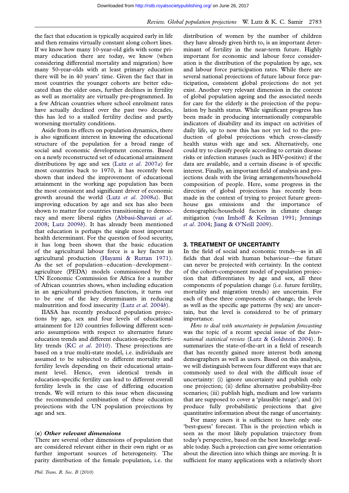the fact that education is typically acquired early in life and then remains virtually constant along cohort lines. If we know how many 10-year-old girls with some primary education there are today, we know (when considering differential mortality and migration) how many 50-year-olds with at least primary education there will be in 40 years' time. Given the fact that in most countries the younger cohorts are better educated than the older ones, further declines in fertility as well as mortality are virtually pre-programmed. In a few African countries where school enrolment rates have actually declined over the past two decades, this has led to a stalled fertility decline and partly worsening mortality conditions.

Aside from its effects on population dynamics, there is also significant interest in knowing the educational structure of the population for a broad range of social and economic development concerns. Based on a newly reconstructed set of educational attainment distributions by age and sex (Lutz et al[. 2007](#page-12-0)a) for most countries back to 1970, it has recently been shown that indeed the improvement of educational attainment in the working age population has been the most consistent and significant driver of economic growth around the world (Lutz et al[. 2008](#page-12-0)a). But improving education by age and sex has also been shown to matter for countries transitioning to democracy and more liberal rights ([Abbasi-Shavazi](#page-12-0) et al. [2008](#page-12-0); [Lutz 2009](#page-12-0)b). It has already been mentioned that education is perhaps the single most important health determinant. For the question of food security, it has long been shown that the basic education of the agricultural labour force is a key factor in agricultural production [\(Hayami & Ruttan 1971](#page-12-0)). As the set of population–education–development– agriculture (PEDA) models commissioned by the UN Economic Commission for Africa for a number of African countries shows, when including education in an agricultural production function, it turns out to be one of the key determinants in reducing malnutrition and food insecurity (Lutz et al[. 2004](#page-12-0)b).

IIASA has recently produced population projections by age, sex and four levels of educational attainment for 120 countries following different scenario assumptions with respect to alternative future education trends and different education-specific fertility trends (KC et al[. 2010\)](#page-12-0). These projections are based on a true multi-state model, i.e. individuals are assumed to be subjected to different mortality and fertility levels depending on their educational attainment level. Hence, even identical trends in education-specific fertility can lead to different overall fertility levels in the case of differing education trends. We will return to this issue when discussing the recommended combination of these education projections with the UN population projections by age and sex.

#### (e) Other relevant dimensions

There are several other dimensions of population that are considered relevant either in their own right or as further important sources of heterogeneity. The parity distribution of the female population, i.e. the

distribution of women by the number of children they have already given birth to, is an important determinant of fertility in the near-term future. Highly important for economic and labour force consideration is the distribution of the population by age, sex and labour force participation rates. While there are several national projections of future labour force participation, consistent global projections do not yet exist. Another very relevant dimension in the context of global population ageing and the associated needs for care for the elderly is the projection of the population by health status. While significant progress has been made in producing internationally comparable indicators of disability and its impact on activities of daily life, up to now this has not yet led to the production of global projections which cross-classify health status with age and sex. Alternatively, one could try to classify people according to certain disease risks or infection statuses (such as HIV-positive) if the data are available, and a certain disease is of specific interest. Finally, an important field of analysis and projections deals with the living arrangements/household composition of people. Here, some progress in the direction of global projections has recently been made in the context of trying to project future greenhouse gas emissions and the importance of demographic/household factors in climate change mitigation [\(van Imhoff & Keilman 1991](#page-13-0); [Jennings](#page-12-0) et al[. 2004](#page-12-0); [Jiang & O'Neill 2009](#page-12-0)).

## 3. TREATMENT OF UNCERTAINTY

In the field of social and economic trends—as in all fields that deal with human behaviour—the future can never be projected with certainty. In the context of the cohort-component model of population projection that differentiates by age and sex, all three components of population change (i.e. future fertility, mortality and migration trends) are uncertain. For each of these three components of change, the levels as well as the specific age patterns (by sex) are uncertain, but the level is considered to be of primary importance.

How to deal with uncertainty in population forecasting was the topic of a recent special issue of the International statistical review ([Lutz & Goldstein 2004\)](#page-12-0). It summarizes the state-of-the-art in a field of research that has recently gained more interest both among demographers as well as users. Based on this analysis, we will distinguish between four different ways that are commonly used to deal with the difficult issue of uncertainty: (i) ignore uncertainty and publish only one projection; (ii) define alternative probability-free scenarios; (iii) publish high, medium and low variants that are supposed to cover a 'plausible range'; and (iv) produce fully probabilistic projections that give quantitative information about the range of uncertainty.

For many users it is sufficient to have only one 'best-guess' forecast. This is the projection which is seen as the most likely population trajectory from today's perspective, based on the best knowledge available today. Such a projection can give some orientation about the direction into which things are moving. It is sufficient for many applications with a relatively short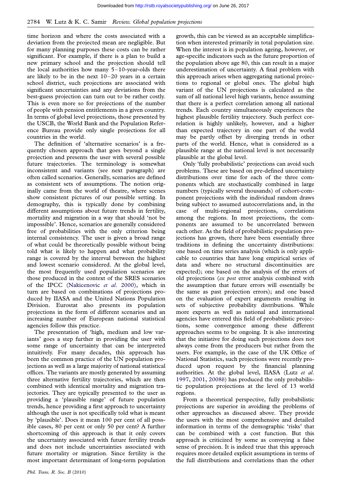time horizon and where the costs associated with a deviation from the projected mean are negligible. But for many planning purposes these costs can be rather significant. For example, if there is a plan to build a new primary school and the projection should tell the local authorities how many 5–10-year-olds there are likely to be in the next  $10-20$  years in a certain school district, such projections are associated with significant uncertainties and any deviations from the best-guess projection can turn out to be rather costly. This is even more so for projections of the number of people with pension entitlements in a given country. In terms of global level projections, those presented by the USCB, the World Bank and the Population Reference Bureau provide only single projections for all countries in the world.

The definition of 'alternative scenarios' is a frequently chosen approach that goes beyond a single projection and presents the user with several possible future trajectories. The terminology is somewhat inconsistent and variants (see next paragraph) are often called scenarios. Generally, scenarios are defined as consistent sets of assumptions. The notion originally came from the world of theatre, where scenes show consistent pictures of our possible setting. In demography, this is typically done by combining different assumptions about future trends in fertility, mortality and migration in a way that should 'not be impossible'. Hence, scenarios are generally considered free of probabilities with the only criterion being internal consistency. The user is given a broad range of what could be theoretically possible without being told what is likely to happen and what probability range is covered by the interval between the highest and lowest scenario considered. At the global level, the most frequently used population scenarios are those produced in the context of the SRES scenarios of the IPCC ([Nakicenovic](#page-13-0) et al. 2000), which in turn are based on combinations of projections produced by IIASA and the United Nations Population Division. Eurostat also presents its population projections in the form of different scenarios and an increasing number of European national statistical agencies follow this practice.

The presentation of 'high, medium and low variants' goes a step further in providing the user with some range of uncertainty that can be interpreted intuitively. For many decades, this approach has been the common practice of the UN population projections as well as a large majority of national statistical offices. The variants are mostly generated by assuming three alternative fertility trajectories, which are then combined with identical mortality and migration trajectories. They are typically presented to the user as providing a 'plausible range' of future population trends, hence providing a first approach to uncertainty although the user is not specifically told what is meant by 'plausible'. Does it mean 100 per cent of all possible cases, 80 per cent or only 50 per cent? A further shortcoming of this approach is that it only covers the uncertainty associated with future fertility trends and does not include uncertainties associated with future mortality or migration. Since fertility is the most important determinant of long-term population

growth, this can be viewed as an acceptable simplification when interested primarily in total population size. When the interest is in population ageing, however, or age-specific indicators such as the future proportion of the population above age 80, this can result in a major underestimation of uncertainty. A final problem with this approach arises when aggregating national projections to regional or global ones. The global high variant of the UN projections is calculated as the sum of all national level high variants, hence assuming that there is a perfect correlation among all national trends. Each country simultaneously experiences the highest plausible fertility trajectory. Such perfect correlation is highly unlikely, however, and a higher than expected trajectory in one part of the world may be partly offset by diverging trends in other parts of the world. Hence, what is considered as a plausible range at the national level is not necessarily plausible at the global level.

Only 'fully probabilistic' projections can avoid such problems. These are based on pre-defined uncertainty distributions over time for each of the three components which are stochastically combined in large numbers (typically several thousands) of cohort-component projections with the individual random draws being subject to assumed autocorrelations and, in the case of multi-regional projections, correlations among the regions. In most projections, the components are assumed to be uncorrelated between each other. As the field of probabilistic population projections has grown, there have been essentially three traditions in defining the uncertainty distributions: one based on time series analysis (which is only applicable to countries that have long empirical series of data and where no structural discontinuities are expected); one based on the analysis of the errors of old projections (ex post error analysis combined with the assumption that future errors will essentially be the same as past projection errors); and one based on the evaluation of expert arguments resulting in sets of subjective probability distributions. While more experts as well as national and international agencies have entered this field of probabilistic projections, some convergence among these different approaches seems to be ongoing. It is also interesting that the initiative for doing such projections does not always come from the producers but rather from the users. For example, in the case of the UK Office of National Statistics, such projections were recently produced upon request by the financial planning authorities. At the global level, IIASA (Lutz et al. [1997](#page-12-0), [2001](#page-12-0), [2008](#page-12-0)b) has produced the only probabilistic population projections at the level of 13 world regions.

From a theoretical perspective, fully probabilistic projections are superior in avoiding the problems of other approaches as discussed above. They provide the users with the most comprehensive and detailed information in terms of the demographic 'risks' that can be combined with a cost function. But this approach is criticized by some as conveying a false sense of precision. It is indeed true that this approach requires more detailed explicit assumptions in terms of the full distributions and correlations than the other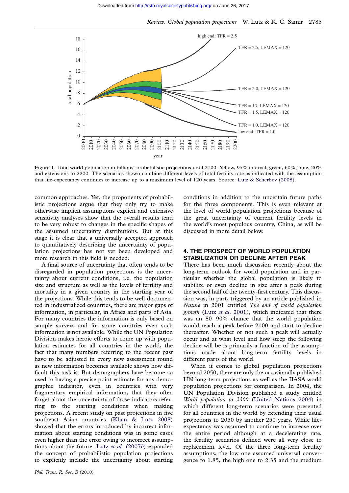<span id="page-7-0"></span>

Figure 1. Total world population in billions: probabilistic projections until 2100. Yellow, 95% interval; green, 60%; blue, 20% and extensions to 2200. The scenarios shown combine different levels of total fertility rate as indicated with the assumption that life-expectancy continues to increase up to a maximum level of 120 years. Source: [Lutz & Scherbov \(2008\)](#page-12-0).

common approaches. Yet, the proponents of probabilistic projections argue that they only try to make otherwise implicit assumptions explicit and extensive sensitivity analyses show that the overall results tend to be very robust to changes in the specific shapes of the assumed uncertainty distributions. But at this stage it is clear that a universally accepted approach to quantitatively describing the uncertainty of population projections has not yet been developed and more research in this field is needed.

A final source of uncertainty that often tends to be disregarded in population projections is the uncertainty about current conditions, i.e. the population size and structure as well as the levels of fertility and mortality in a given country in the starting year of the projections. While this tends to be well documented in industrialized countries, there are major gaps of information, in particular, in Africa and parts of Asia. For many countries the information is only based on sample surveys and for some countries even such information is not available. While the UN Population Division makes heroic efforts to come up with population estimates for all countries in the world, the fact that many numbers referring to the recent past have to be adjusted in every new assessment round as new information becomes available shows how difficult this task is. But demographers have become so used to having a precise point estimate for any demographic indicator, even in countries with very fragmentary empirical information, that they often forget about the uncertainty of those indicators referring to the starting conditions when making projections. A recent study on past projections in five southeast Asian countries ([Khan & Lutz 2008](#page-12-0)) showed that the errors introduced by incorrect information about starting conditions was in some cases even higher than the error owing to incorrect assump-tions about the future. Lutz et al[. \(2007](#page-12-0)b) expanded the concept of probabilistic population projections to explicitly include the uncertainty about starting

conditions in addition to the uncertain future paths for the three components. This is even relevant at the level of world population projections because of the great uncertainty of current fertility levels in the world's most populous country, China, as will be discussed in more detail below.

### 4. THE PROSPECT OF WORLD POPULATION STABILIZATION OR DECLINE AFTER PEAK

There has been much discussion recently about the long-term outlook for world population and in particular whether the global population is likely to stabilize or even decline in size after a peak during the second half of the twenty-first century. This discussion was, in part, triggered by an article published in Nature in 2001 entitled The end of world population growth (Lutz et al[. 2001\)](#page-12-0), which indicated that there was an 80–90% chance that the world population would reach a peak before 2100 and start to decline thereafter. Whether or not such a peak will actually occur and at what level and how steep the following decline will be is primarily a function of the assumptions made about long-term fertility levels in different parts of the world.

When it comes to global population projections beyond 2050, there are only the occasionally published UN long-term projections as well as the IIASA world population projections for comparison. In 2004, the UN Population Division published a study entitled World population to 2300 [\(United Nations 2004](#page-13-0)) in which different long-term scenarios were presented for all countries in the world by extending their usual projections to 2050 by another 250 years. While lifeexpectancy was assumed to continue to increase over the entire period although at a decelerating rate, the fertility scenarios defined were all very close to replacement level. Of the three long-term fertility assumptions, the low one assumed universal convergence to 1.85, the high one to 2.35 and the medium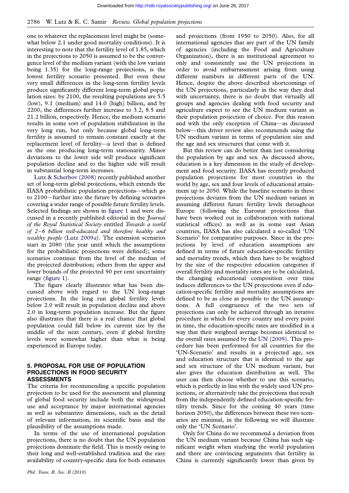one to whatever the replacement level might be (somewhat below 2.1 under good mortality conditions). It is interesting to note that the fertility level of 1.85, which in the projections to 2050 is assumed to be the convergence level of the medium variant (with the low variant being 1.35) for the long-range projections, is the lowest fertility scenario presented. But even these very small differences in the long-term fertility levels produce significantly different long-term global population sizes: by 2100, the resulting populations are 5.5 (low), 9.1 (medium) and 14.0 (high) billion, and by 2200, the differences further increase to 3.2, 8.5 and 21.2 billion, respectively. Hence, the medium scenario results in some sort of population stabilization in the very long run, but only because global long-term fertility is assumed to remain constant exactly at the replacement level of fertility—a level that is defined as the one producing long-term stationarity. Minor deviations to the lower side will produce significant population decline and to the higher side will result in substantial long-term increases.

[Lutz & Scherbov \(2008\)](#page-12-0) recently published another set of long-term global projections, which extends the IIASA probabilistic population projections—which go to 2100—further into the future by defining scenarios covering a wider range of possible future fertility levels. Selected findings are shown in [figure 1](#page-7-0) and were discussed in a recently published editorial in the Journal of the Royal Statistical Society entitled Towards a world of 2–6 billion well-educated and therefore healthy and wealthy people [\(Lutz 2009](#page-12-0)a). The extension scenarios start in 2080 (the year until which the assumptions for the probabilistic projections were defined); some scenarios continue from the level of the median of the projected distribution; others from the upper and lower bounds of the projected 90 per cent uncertainty range [\(figure 1](#page-7-0)).

The figure clearly illustrates what has been discussed above with regard to the UN long-range projections. In the long run global fertility levels below 2.0 will result in population decline and above 2.0 in long-term population increase. But the figure also illustrates that there is a real chance that global population could fall below its current size by the middle of the next century, even if global fertility levels were somewhat higher than what is being experienced in Europe today.

#### 5. PROPOSAL FOR USE OF POPULATION PROJECTIONS IN FOOD SECURITY ASSESSMENTS

The criteria for recommending a specific population projection to be used for the assessment and planning of global food security include both the widespread use and acceptance by major international agencies as well as substantive dimensions, such as the detail of relevant information, its scientific basis and the plausibility of the assumptions made.

In terms of the use of international population projections, there is no doubt that the UN population projections dominate the field. This is mostly owing to their long and well-established tradition and the easy availability of country-specific data for both estimates

and projections (from 1950 to 2050). Also, for all international agencies that are part of the UN family of agencies (including the Food and Agriculture Organization), there is an institutional agreement to only and consistently use the UN projections in order to avoid embarrassment arising from using different numbers in different parts of the UN. Hence, despite the above described shortcomings of the UN projections, particularly in the way they deal with uncertainty, there is no doubt that virtually all groups and agencies dealing with food security and agriculture expect to see the UN medium variant as their population projection of choice. For this reason and with the only exception of China—as discussed below—this driver review also recommends using the UN medium variant in terms of population size and the age and sex structures that come with it.

But this review can do better than just considering the population by age and sex. As discussed above, education is a key dimension in the study of development and food security. IIASA has recently produced population projections for most countries in the world by age, sex and four levels of educational attainment up to 2050. While the baseline scenario in these projections deviates from the UN medium variant in assuming different future fertility levels throughout Europe (following the Eurostat projections that have been worked out in collaboration with national statistical offices) as well as in some east Asian countries, IIASA has also calculated a so-called 'UN Scenario' for comparative purposes. Since in the projections by level of education assumptions are defined in terms of future education-specific fertility and mortality trends, which then have to be weighted by the size of the respective education categories if overall fertility and mortality rates are to be calculated, the changing educational composition over time induces differences to the UN projections even if education-specific fertility and mortality assumptions are defined to be as close as possible to the UN assumptions. A full congruence of the two sets of projections can only be achieved through an iterative procedure in which for every country and every point in time, the education-specific rates are modified in a way that their weighted average becomes identical to the overall rates assumed by the [UN \(2009\).](#page-13-0) This procedure has been performed for all countries for the 'UN-Scenario' and results in a projected age, sex and education structure that is identical to the age and sex structure of the UN medium variant, but also gives the education distribution as well. The user can then choose whether to use this scenario, which is perfectly in line with the widely used UN projections, or alternatively take the projections that result from the independently defined education-specific fertility trends. Since for the coming 40 years (time horizon 2050), the differences between these two scenarios are minimal, in the following we will illustrate only the 'UN Scenario'.

Only for China do we recommend a deviation from the UN medium variant because China has such significant weight when studying the world population and there are convincing arguments that fertility in China is currently significantly lower than given by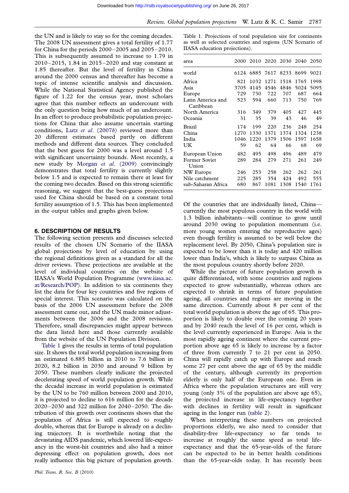the UN and is likely to stay so for the coming decades. The 2008 UN assessment gives a total fertility of 1.77 for China for the periods 2000–2005 and 2005–2010. This is subsequently assumed to increase to 1.79 in 2010–2015, 1.84 in 2015–2020 and stay constant at 1.85 thereafter. But the level of fertility in China around the 2000 census and thereafter has become a topic of intense scientific analysis and discussion. While the National Statistical Agency published the figure of 1.22 for the census year, most scholars agree that this number reflects an undercount with the only question being how much of an undercount. In an effort to produce probabilistic population projections for China that also assume uncertain starting conditions, Lutz et al[. \(2007](#page-12-0)b) reviewed more than 20 different estimates based partly on different methods and different data sources. They concluded that the best guess for 2000 was a level around 1.5 with significant uncertainty bounds. Most recently, a new study by Morgan et al[. \(2009\)](#page-12-0) convincingly demonstrates that total fertility is currently slightly below 1.5 and is expected to remain there at least for the coming two decades. Based on this strong scientific reasoning, we suggest that the best-guess projections used for China should be based on a constant total fertility assumption of 1.5. This has been implemented in the output tables and graphs given below.

#### 6. DESCRIPTION OF RESULTS

The following section presents and discusses selected results of the chosen UN Scenario of the IIASA global projections by level of education by using the regional definitions given as a standard for all the driver reviews. These projections are available at the level of individual countries on the website of IIASA's World Population Programme [\(www.iiasa.ac.](http://www.iiasa.ac.at/Research/POP) [at/Research/POP\)](http://www.iiasa.ac.at/Research/POP). In addition to six continents they list the data for four key countries and five regions of special interest. This scenario was calculated on the basis of the 2006 UN assessment before the 2008 assessment came out, and the UN made minor adjustments between the 2006 and the 2008 revisions. Therefore, small discrepancies might appear between the data listed here and those currently available from the website of the UN Population Division.

Table 1 gives the results in terms of total population size. It shows the total world population increasing from an estimated 6.885 billion in 2010 to 7.6 billion in 2020, 8.2 billion in 2030 and around 9 billion by 2050. These numbers clearly indicate the projected decelerating speed of world population growth. While the decadal increase in world population is estimated by the UN to be 760 million between 2000 and 2010, it is projected to decline to 616 million for the decade 2020–2030 and 322 million for 2040–2050. The distribution of this growth over continents shows that the population of Africa is still expected to roughly double, whereas that for Europe is already on a declining trajectory. It is worthwhile noting that the devastating AIDS pandemic, which lowered life-expectancy in the worst-hit countries and also had a minor depressing effect on population growth, does not really influence this big picture of population growth.

| area                           | 2000 | 2010 | 2020 | 2030 | 2040 | 2050 |
|--------------------------------|------|------|------|------|------|------|
| world                          | 6124 | 6885 | 7617 | 8233 | 8699 | 9021 |
| Africa                         | 821  | 1032 | 1271 | 1518 | 1765 | 1998 |
| Asia                           | 3705 | 4145 | 4546 | 4846 | 5024 | 5095 |
| Europe                         | 729  | 730  | 722  | 707  | 687  | 664  |
| Latin America and<br>Caribbean | 523  | 594  | 660  | 713  | 750  | 769  |
| North America                  | 316  | 349  | 379  | 405  | 427  | 445  |
| Oceania                        | 31   | 35   | 39   | 43   | 46   | 49   |
| Brazil                         | 174  | 199  | 220  | 236  | 248  | 254  |
| China                          | 1270 | 1330 | 1371 | 1374 | 1324 | 1238 |
| India                          | 1046 | 1220 | 1379 | 1506 | 1597 | 1658 |
| UK                             | 59   | 62   | 64   | 66   | 68   | 69   |
| European Union                 | 482  | 495  | 498  | 496  | 489  | 479  |
| <b>Former Soviet</b><br>Union  | 289  | 284  | 279  | 271  | 261  | 249  |
| NW Europe                      | 246  | 253  | 258  | 262  | 262  | 261  |
| Nile catchment                 | 225  | 285  | 354  | 424  | 492  | 555  |
| sub-Saharan Africa             | 680  | 867  | 1081 | 1308 | 1540 | 1761 |

Of the countries that are individually listed, China currently the most populous country in the world with 1.3 billion inhabitants—will continue to grow until around 2030 owing to population momentum (i.e. more young women entering the reproductive ages) even though fertility is assumed to be well below the replacement level. By 2050, China's population size is expected to be lower than it is today and 420 million lower than India's, which is likely to surpass China as the most populous country shortly before 2020.

While the picture of future population growth is quite differentiated, with some countries and regions expected to grow substantially, whereas others are expected to shrink in terms of future population ageing, all countries and regions are moving in the same direction. Currently about 8 per cent of the total world population is above the age of 65. This proportion is likely to double over the coming 20 years and by 2040 reach the level of 16 per cent, which is the level currently experienced in Europe. Asia is the most rapidly ageing continent where the current proportion above age 65 is likely to increase by a factor of three from currently 7 to 21 per cent in 2050. China will rapidly catch up with Europe and reach some 27 per cent above the age of 65 by the middle of the century, although currently its proportion elderly is only half of the European one. Even in Africa where the population structures are still very young (only 3% of the population are above age 65), the projected increase in life-expectancy together with declines in fertility will result in significant ageing in the longer run ([table 2\)](#page-10-0).

When interpreting these numbers on projected proportions elderly, we also need to consider that disability-free life-expectancy so far tends to increase at roughly the same speed as total lifeexpectancy and that the 65-year-olds of the future can be expected to be in better health conditions than the 65-year-olds today. It has recently been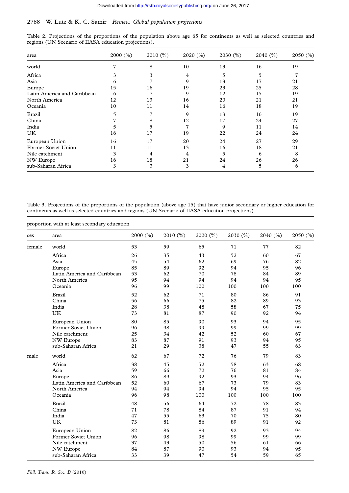<span id="page-10-0"></span>

| 2788 W. Lutz & K. C. Samir Review. Global population projections |  |
|------------------------------------------------------------------|--|
|------------------------------------------------------------------|--|

| area                        | 2000 (%) | 2010 $(\% )$ | 2020 (%) | 2030 $(\% )$ | 2040 $(\% )$ | 2050 (%) |  |
|-----------------------------|----------|--------------|----------|--------------|--------------|----------|--|
| world                       |          | 8            | 10       | 13           | 16           | 19       |  |
| Africa                      | 3        | 3            | 4        | 5            | 5            | 7        |  |
| Asia                        | 6        |              | 9        | 13           | 17           | 21       |  |
| Europe                      | 15       | 16           | 19       | 23           | 25           | 28       |  |
| Latin America and Caribbean | 6        |              | 9        | 12           | 15           | 19       |  |
| North America               | 12       | 13           | 16       | 20           | 21           | 21       |  |
| Oceania                     | 10       | 11           | 14       | 16           | 18           | 19       |  |
| <b>Brazil</b>               | 5        |              | 9        | 13           | 16           | 19       |  |
| China                       |          | 8            | 12       | 17           | 24           | 27       |  |
| India                       | 5        | 5            |          | 9            | 11           | 14       |  |
| <b>UK</b>                   | 16       | 17           | 19       | 22           | 24           | 24       |  |
| European Union              | 16       | 17           | 20       | 24           | 27           | 29       |  |
| Former Soviet Union         | 11       | 11           | 13       | 16           | 18           | 21       |  |
| Nile catchment              | 3        | 4            | 4        | 5            | 6            | 8        |  |
| NW Europe                   | 16       | 18           | 21       | 24           | 26           | 26       |  |
| sub-Saharan Africa          | 3        | 3            | 3        | 4            | 5            | 6        |  |

Table 2. Projections of the proportions of the population above age 65 for continents as well as selected countries and regions (UN Scenario of IIASA education projections).

Table 3. Projections of the proportions of the population (above age 15) that have junior secondary or higher education for continents as well as selected countries and regions (UN Scenario of IIASA education projections).

|  |  | proportion with at least secondary education |  |
|--|--|----------------------------------------------|--|
|  |  |                                              |  |
|  |  |                                              |  |

| sex    | area                        | 2000 (%) | 2010 $(\% )$ | $2020\ (%)$ | 2030 $(\%)$ | 2040 (%) | 2050 $(\%)$ |
|--------|-----------------------------|----------|--------------|-------------|-------------|----------|-------------|
| female | world                       | 53       | 59           | 65          | 71          | 77       | 82          |
|        | Africa                      | 26       | 35           | 43          | 52          | 60       | 67          |
|        | Asia                        | 45       | 54           | 62          | 69          | 76       | 82          |
|        | Europe                      | 85       | 89           | 92          | 94          | 95       | 96          |
|        | Latin America and Caribbean | 53       | 62           | 70          | 78          | 84       | 89          |
|        | North America               | 95       | 94           | 94          | 94          | 94       | 95          |
|        | Oceania                     | 96       | 99           | 100         | 100         | 100      | 100         |
|        | <b>Brazil</b>               | 52       | 62           | 71          | 80          | 86       | 91          |
|        | China                       | 56       | 66           | 75          | 82          | 89       | 93          |
|        | India                       | 28       | 38           | 48          | 58          | 67       | 75          |
|        | <b>UK</b>                   | 73       | 81           | 87          | 90          | 92       | 94          |
|        | European Union              | 80       | 85           | 90          | 93          | 94       | 95          |
|        | Former Soviet Union         | 96       | 98           | 99          | 99          | 99       | 99          |
|        | Nile catchment              | 25       | 34           | 42          | 52          | 60       | 67          |
|        | NW Europe                   | 83       | 87           | 91          | 93          | 94       | 95          |
|        | sub-Saharan Africa          | 21       | 29           | 38          | 47          | 55       | 63          |
| male   | world                       | 62       | 67           | 72          | 76          | 79       | 83          |
|        | Africa                      | 38       | 45           | 52          | 58          | 63       | 68          |
|        | Asia                        | 59       | 66           | 72          | 76          | 81       | 84          |
|        | Europe                      | 86       | 89           | 92          | 93          | 94       | 96          |
|        | Latin America and Caribbean | 52       | 60           | 67          | 73          | 79       | 83          |
|        | North America               | 94       | 94           | 94          | 94          | 95       | 95          |
|        | Oceania                     | 96       | 98           | 100         | 100         | 100      | 100         |
|        | <b>Brazil</b>               | 48       | 56           | 64          | 72          | 78       | 83          |
|        | China                       | 71       | 78           | 84          | 87          | 91       | 94          |
|        | India                       | 47       | 55           | 63          | 70          | 75       | 80          |
|        | <b>UK</b>                   | 73       | 81           | 86          | 89          | 91       | 92          |
|        | European Union              | 82       | 86           | 89          | 92          | 93       | 94          |
|        | Former Soviet Union         | 96       | 98           | 98          | 99          | 99       | 99          |
|        | Nile catchment              | 37       | 43           | 50          | 56          | 61       | 66          |
|        | NW Europe                   | 84       | 87           | 90          | 93          | 94       | 95          |
|        | sub-Saharan Africa          | 33       | 39           | 47          | 54          | 59       | 65          |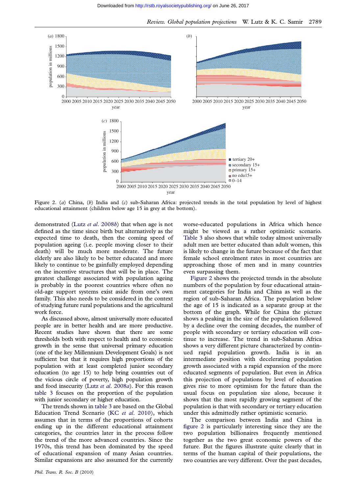

Figure 2. (a) China, (b) India and (c) sub-Saharan Africa: projected trends in the total population by level of highest educational attainment (children below age 15 in grey at the bottom).

demonstrated (Lutz et al[. 2008](#page-12-0)b) that when age is not defined as the time since birth but alternatively as the expected time to death, then the coming speed of population ageing (i.e. people moving closer to their death) will be much more moderate. The future elderly are also likely to be better educated and more likely to continue to be gainfully employed depending on the incentive structures that will be in place. The greatest challenge associated with population ageing is probably in the poorest countries where often no old-age support systems exist aside from one's own family. This also needs to be considered in the context of studying future rural populations and the agricultural work force.

As discussed above, almost universally more educated people are in better health and are more productive. Recent studies have shown that there are some thresholds both with respect to health and to economic growth in the sense that universal primary education (one of the key Millennium Development Goals) is not sufficient but that it requires high proportions of the population with at least completed junior secondary education (to age 15) to help bring countries out of the vicious circle of poverty, high population growth and food insecurity (Lutz et al[. 2008](#page-12-0)a). For this reason [table 3](#page-10-0) focuses on the proportion of the population with junior secondary or higher education.

The trends shown in [table 3](#page-10-0) are based on the Global Education Trend Scenario (KC et al[. 2010](#page-12-0)), which assumes that in terms of the proportions of cohorts ending up in the different educational attainment categories, the countries later in the process follow the trend of the more advanced countries. Since the 1970s, this trend has been dominated by the speed of educational expansion of many Asian countries. Similar expansions are also assumed for the currently

worse-educated populations in Africa which hence might be viewed as a rather optimistic scenario. [Table 3](#page-10-0) also shows that while today almost universally adult men are better educated than adult women, this is likely to change in the future because of the fact that female school enrolment rates in most countries are approaching those of men and in many countries even surpassing them.

Figure 2 shows the projected trends in the absolute numbers of the population by four educational attainment categories for India and China as well as the region of sub-Saharan Africa. The population below the age of 15 is indicated as a separate group at the bottom of the graph. While for China the picture shows a peaking in the size of the population followed by a decline over the coming decades, the number of people with secondary or tertiary education will continue to increase. The trend in sub-Saharan Africa shows a very different picture characterized by continued rapid population growth. India is in an intermediate position with decelerating population growth associated with a rapid expansion of the more educated segments of population. But even in Africa this projection of populations by level of education gives rise to more optimism for the future than the usual focus on population size alone, because it shows that the most rapidly growing segment of the population is that with secondary or tertiary education under this admittedly rather optimistic scenario.

The comparison between India and China in figure 2 is particularly interesting since they are the two population billionaires frequently mentioned together as the two great economic powers of the future. But the figures illustrate quite clearly that in terms of the human capital of their populations, the two countries are very different. Over the past decades,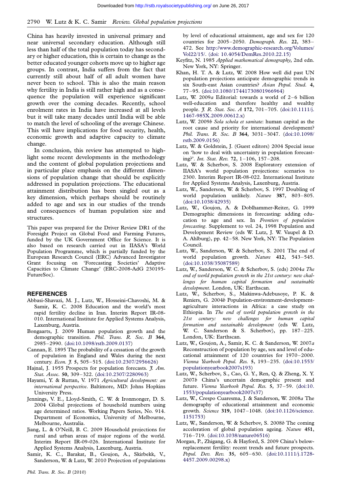<span id="page-12-0"></span>China has heavily invested in universal primary and near universal secondary education. Although still less than half of the total population today has secondary or higher education, this is certain to change as the better educated younger cohorts move up to higher age groups. In contrast, India suffers from the fact that currently still about half of all adult women have never been to school. This is also the main reason why fertility in India is still rather high and as a consequence the population will experience significant growth over the coming decades. Recently, school enrolment rates in India have increased at all levels but it will take many decades until India will be able to match the level of schooling of the average Chinese. This will have implications for food security, health, economic growth and adaptive capacity to climate change.

In conclusion, this review has attempted to highlight some recent developments in the methodology and the content of global population projections and in particular place emphasis on the different dimensions of population change that should be explicitly addressed in population projections. The educational attainment distribution has been singled out as a key dimension, which perhaps should be routinely added to age and sex in our studies of the trends and consequences of human population size and structures.

This paper was prepared for the Driver Review DR1 of the Foresight Project on Global Food and Farming Futures, funded by the UK Government Office for Science. It is also based on research carried out in IIASA's World Population Programme, which is partially funded by the European Research Council (ERC) Advanced Investigator Grant focusing on 'Forecasting Societies' Adaptive Capacities to Climate Change' (ERC-2008-AdG 230195- FutureSoc).

# **REFERENCES**

- Abbasi-Shavazi, M. J., Lutz, W., Hosseini-Chavoshi, M. & Samir, K. C. 2008 Education and the world's most rapid fertility decline in Iran. Interim Report IR-08- 010. International Institute for Applied Systems Analysis, Laxenburg, Austria.
- Bongaarts, J. 2009 Human population growth and the demographic transition. Phil. Trans. R. Soc. B 364, 2985–2990. [\(doi:10.1098/rstb.2009.0137](http://dx.doi.org/doi:10.1098/rstb.2009.0137))
- Cannan, E. 1895 The probability of a cessation of the growth of population in England and Wales during the next century. Econ. *J.* 5, 505-515. ([doi:10.2307/2956626\)](http://dx.doi.org/doi:10.2307/2956626)
- Hajnal, J. 1955 Prospects for population forecasts. *J. Am.* Stat. Assoc. 50, 309–322. [\(doi:10.2307/2280963](http://dx.doi.org/doi:10.2307/2280963))
- Hayami, Y. & Ruttan, V. 1971 Agricultural development: an international perspective. Baltimore, MD: Johns Hopkins University Press.
- Jennings, V. E., Lloyd-Smith, C. W. & Ironmonger, D. S. 2004 Global projections of household numbers using age determined ratios. Working Papers Series, No. 914. Department of Economics, University of Melbourne, Melbourne, Australia.
- Jiang, L. & O'Neill, B. C. 2009 Household projections for rural and urban areas of major regions of the world. Interim Report IR-09-026. International Institute for Applied Systems Analysis, Laxenburg, Austria.
- Samir, K. C., Barakat, B., Goujon, A., Skirbekk, V., Sanderson, W. & Lutz, W. 2010 Projection of populations

by level of educational attainment, age and sex for 120 countries for 2005–2050. Demograph. Res. 22, 383– 472. See [http://www.demographic-research.org/Volumes/](http://www.demographic-research.org/Volumes/Vol22/15/) [Vol22/15/.](http://www.demographic-research.org/Volumes/Vol22/15/) [\(doi: 10.4054/DemRes.2010.22.15\)](http://dx.doi.org/(doi: 10.4054/DemRes.2010.22.15))

- Keyfitz, N. 1985 Applied mathematical demography, 2nd edn. New York, NY: Springer.
- Khan, H. T. A. & Lutz, W. 2008 How well did past UN population projections anticipate demographic trends in six South-east Asian countries? Asian Popul. Stud. 4, 77–95. ([doi:10.1080/17441730801966964\)](http://dx.doi.org/doi:10.1080/17441730801966964)
- Lutz, W. 2009a Editorial: towards a world of 2–6 billion well-education and therefore healthy and wealthy people. *J. R. Stat. Soc. A* 172, 701–705. [\(doi:10.1111/j.](http://dx.doi.org/doi:10.1111/j.1467-985X.2009.00612.x) [1467-985X.2009.00612.x](http://dx.doi.org/doi:10.1111/j.1467-985X.2009.00612.x))
- Lutz, W. 2009b Sola schola et sanitate: human capital as the root cause and priority for international development? Phil. Trans. R. Soc. B 364, 3031–3047. [\(doi:10.1098/](http://dx.doi.org/doi:10.1098/rstb.2009.0156) [rstb.2009.0156\)](http://dx.doi.org/doi:10.1098/rstb.2009.0156)
- Lutz, W. & Goldstein, J. (Guest editors) 2004 Special issue on 'how to deal with uncertainty in population forecasting?'. Int. Stat. Rev. 72, 1–106, 157–208.
- Lutz, W. & Scherbov, S. 2008 Exploratory extension of IIASA's world population projections: scenarios to 2300. Interim Report IR-08-022. International Institute for Applied Systems Analysis, Laxenburg, Austria.
- Lutz, W., Sanderson, W. & Scherbov, S. 1997 Doubling of world population unlikely. Nature 387, 803–805. ([doi:10.1038/42935\)](http://dx.doi.org/doi:10.1038/42935)
- Lutz, W., Goujon, A. & Doblhammer-Reiter, G. 1999 Demographic dimensions in forecasting: adding education to age and sex. In Frontiers of population forecasting. Supplement to vol. 24, 1998 Population and Development Review (eds W. Lutz, J. W. Vaupel & D. A. Ahlburg), pp. 42–58. New York, NY: The Population Council.
- Lutz, W., Sanderson, W. & Scherbov, S. 2001 The end of world population growth. Nature 412, 543-545. ([doi:10.1038/35087589](http://dx.doi.org/doi:10.1038/35087589))
- Lutz, W., Sanderson, W. C. & Scherbov, S. (eds) 2004a The end of world population growth in the 21st century: new challenges for human capital formation and sustainable development. London, UK: Earthscan.
- Lutz, W., Scherbov, S., Makinwa-Adebusoye, P. K. & Reniers, G. 2004b Population-environment-developmentagriculture interactions in Africa: a case study on Ethiopia. In The end of world population growth in the 21st century: new challenges for human capital formation and sustainable development (eds W. Lutz, W. C. Sanderson & S. Scherbov), pp. 187–225. London, UK: Earthscan.
- Lutz, W., Goujon, A., Samir, K. C. & Sanderson, W. 2007a Reconstruction of population by age, sex and level of educational attainment of 120 countries for 1970–2000. Vienna Yearbook Popul. Res. 5, 193–235. [\(doi:10.1553/](http://dx.doi.org/doi:10.1553/populationyearbook2007s193) [populationyearbook2007s193](http://dx.doi.org/doi:10.1553/populationyearbook2007s193))
- Lutz, W., Scherbov, S., Cao, G. Y., Ren, Q. & Zheng, X. Y. 2007b China's uncertain demographic present and future. Vienna Yearbook Popul. Res. 5, 37–59. ([doi:10.](http://dx.doi.org/doi:10.1553/populationyearbook2007s37) [1553/populationyearbook2007s37\)](http://dx.doi.org/doi:10.1553/populationyearbook2007s37)
- Lutz, W., Crespo Cuaresma, J. & Sanderson, W. 2008a The demography of educational attainment and economic growth. Science 319, 1047–1048. ([doi:10.1126/science.](http://dx.doi.org/doi:10.1126/science.1151753) [1151753](http://dx.doi.org/doi:10.1126/science.1151753))
- Lutz, W., Sanderson, W. & Scherbov, S. 2008b The coming acceleration of global population ageing. Nature 451, 716–719. [\(doi:10.1038/nature06516](http://dx.doi.org/doi:10.1038/nature06516))
- Morgan, P., Zhigang, G. & Hayford, S. 2009 China's belowreplacement fertility: recent trends and future prospects. Popul. Dev. Rev. 35, 605–630. [\(doi:10.1111/j.1728-](http://dx.doi.org/doi:10.1111/j.1728-4457.2009.00298.x) [4457.2009.00298.x](http://dx.doi.org/doi:10.1111/j.1728-4457.2009.00298.x))